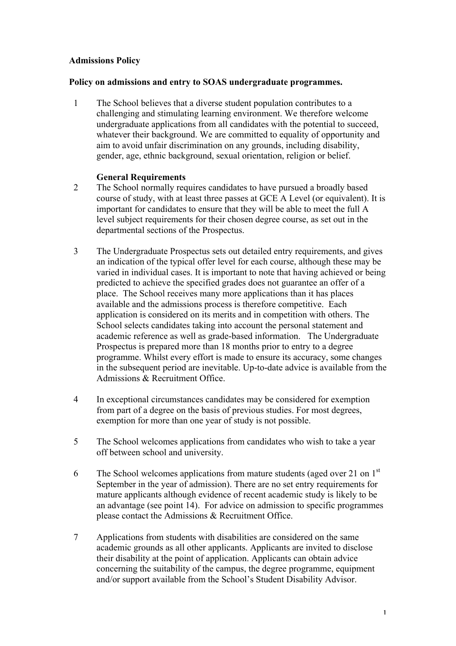# Admissions Policy

### Policy on admissions and entry to SOAS undergraduate programmes.

 1 The School believes that a diverse student population contributes to a challenging and stimulating learning environment. We therefore welcome undergraduate applications from all candidates with the potential to succeed, whatever their background. We are committed to equality of opportunity and aim to avoid unfair discrimination on any grounds, including disability, gender, age, ethnic background, sexual orientation, religion or belief.

### General Requirements

- 2 The School normally requires candidates to have pursued a broadly based course of study, with at least three passes at GCE A Level (or equivalent). It is important for candidates to ensure that they will be able to meet the full A level subject requirements for their chosen degree course, as set out in the departmental sections of the Prospectus.
- 3 The Undergraduate Prospectus sets out detailed entry requirements, and gives an indication of the typical offer level for each course, although these may be varied in individual cases. It is important to note that having achieved or being predicted to achieve the specified grades does not guarantee an offer of a place. The School receives many more applications than it has places available and the admissions process is therefore competitive. Each application is considered on its merits and in competition with others. The School selects candidates taking into account the personal statement and academic reference as well as grade-based information. The Undergraduate Prospectus is prepared more than 18 months prior to entry to a degree programme. Whilst every effort is made to ensure its accuracy, some changes in the subsequent period are inevitable. Up-to-date advice is available from the Admissions & Recruitment Office.
- 4 In exceptional circumstances candidates may be considered for exemption from part of a degree on the basis of previous studies. For most degrees, exemption for more than one year of study is not possible.
- 5 The School welcomes applications from candidates who wish to take a year off between school and university.
- 6 The School welcomes applications from mature students (aged over 21 on  $1<sup>st</sup>$ September in the year of admission). There are no set entry requirements for mature applicants although evidence of recent academic study is likely to be an advantage (see point 14). For advice on admission to specific programmes please contact the Admissions & Recruitment Office.
- 7 Applications from students with disabilities are considered on the same academic grounds as all other applicants. Applicants are invited to disclose their disability at the point of application. Applicants can obtain advice concerning the suitability of the campus, the degree programme, equipment and/or support available from the School's Student Disability Advisor.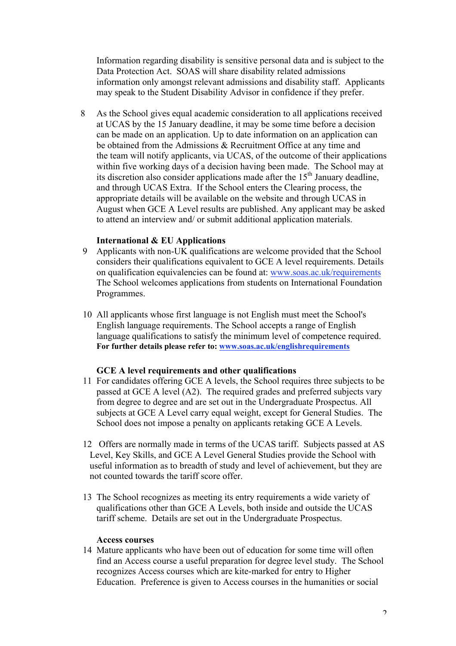Information regarding disability is sensitive personal data and is subject to the Data Protection Act. SOAS will share disability related admissions information only amongst relevant admissions and disability staff. Applicants may speak to the Student Disability Advisor in confidence if they prefer.

 8 As the School gives equal academic consideration to all applications received at UCAS by the 15 January deadline, it may be some time before a decision can be made on an application. Up to date information on an application can be obtained from the Admissions & Recruitment Office at any time and the team will notify applicants, via UCAS, of the outcome of their applications within five working days of a decision having been made. The School may at its discretion also consider applications made after the  $15<sup>th</sup>$  January deadline, and through UCAS Extra. If the School enters the Clearing process, the appropriate details will be available on the website and through UCAS in August when GCE A Level results are published. Any applicant may be asked to attend an interview and/ or submit additional application materials.

### International & EU Applications

- 9 Applicants with non-UK qualifications are welcome provided that the School considers their qualifications equivalent to GCE A level requirements. Details on qualification equivalencies can be found at: www.soas.ac.uk/requirements The School welcomes applications from students on International Foundation Programmes.
- 10 All applicants whose first language is not English must meet the School's English language requirements. The School accepts a range of English language qualifications to satisfy the minimum level of competence required. For further details please refer to: www.soas.ac.uk/englishrequirements

### GCE A level requirements and other qualifications

- 11 For candidates offering GCE A levels, the School requires three subjects to be passed at GCE A level (A2). The required grades and preferred subjects vary from degree to degree and are set out in the Undergraduate Prospectus. All subjects at GCE A Level carry equal weight, except for General Studies. The School does not impose a penalty on applicants retaking GCE A Levels.
- 12 Offers are normally made in terms of the UCAS tariff. Subjects passed at AS Level, Key Skills, and GCE A Level General Studies provide the School with useful information as to breadth of study and level of achievement, but they are not counted towards the tariff score offer.
- 13 The School recognizes as meeting its entry requirements a wide variety of qualifications other than GCE A Levels, both inside and outside the UCAS tariff scheme. Details are set out in the Undergraduate Prospectus.

#### Access courses

14 Mature applicants who have been out of education for some time will often find an Access course a useful preparation for degree level study. The School recognizes Access courses which are kite-marked for entry to Higher Education. Preference is given to Access courses in the humanities or social